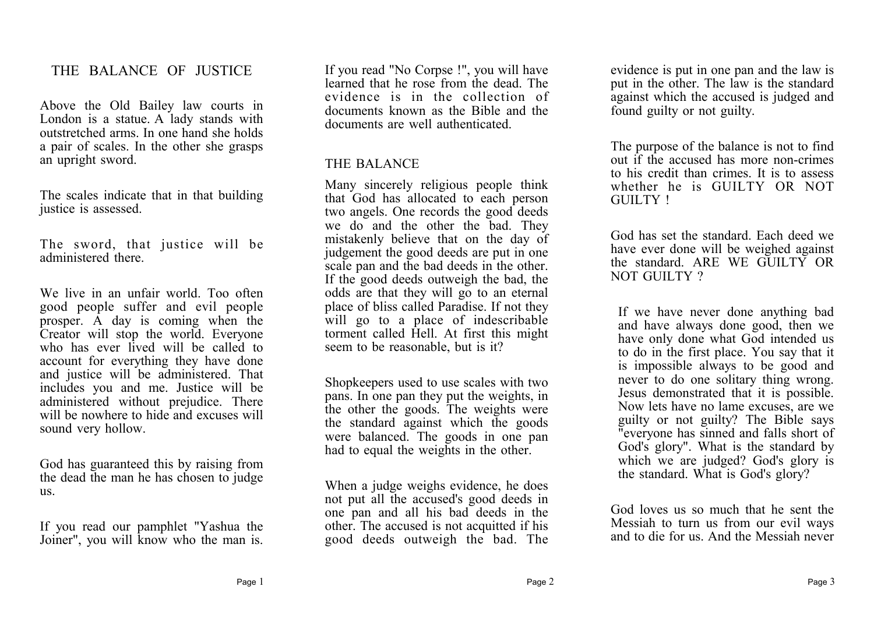### THE BALANCE OF JUSTICE

Above the Old Bailey law courts in London is a statue. A lady stands with outstretched arms. In one hand she holds a pair of scales. In the other she grasps an upright sword.

The scales indicate that in that building justice is assessed.

The sword, that justice will be administered there.

We live in an unfair world. Too often good people suffer and evil people prosper. A day is coming when the Creator will stop the world. Everyone who has ever lived will be called to account for everything they have done and justice will be administered. That includes you and me. Justice will be administered without prejudice. There will be nowhere to hide and excuses will sound very hollow.

God has guaranteed this by raising from the dead the man he has chosen to judge us.

If you read our pamphlet "Yashua the Joiner", you will know who the man is.

If you read "No Corpse !", you will have learned that he rose from the dead. The evidence is in the collection of documents known as the Bible and the documents are well authenticated.

#### THE BALANCE

Many sincerely religious people think that God has allocated to each person two angels. One records the good deeds we do and the other the bad. They mistakenly believe that on the day of judgement the good deeds are put in one scale pan and the bad deeds in the other. If the good deeds outweigh the bad, the odds are that they will go to an eternal place of bliss called Paradise. If not they will go to a place of indescribable torment called Hell. At first this might seem to be reasonable, but is it?

Shopkeepers used to use scales with two pans. In one pan they put the weights, in the other the goods. The weights were the standard against which the goods were balanced. The goods in one pan had to equal the weights in the other.

When a judge weighs evidence, he does not put all the accused's good deeds in one pan and all his bad deeds in the other. The accused is not acquitted if his good deeds outweigh the bad. The

evidence is put in one pan and the law is put in the other. The law is the standard against which the accused is judged and found guilty or not guilty.

The purpose of the balance is not to find out if the accused has more non-crimes to his credit than crimes. It is to assess whether he is GUILTY OR NOT GUILTY !

God has set the standard. Each deed we have ever done will be weighed against the standard ARE WE GUILTY OR NOT GUILTY ?

If we have never done anything bad and have always done good, then we have only done what God intended us to do in the first place. You say that it is impossible always to be good and never to do one solitary thing wrong. Jesus demonstrated that it is possible. Now lets have no lame excuses, are we guilty or not guilty? The Bible says "everyone has sinned and falls short of God's glory". What is the standard by which we are judged? God's glory is the standard. What is God's glory?

God loves us so much that he sent the Messiah to turn us from our evil ways and to die for us. And the Messiah never